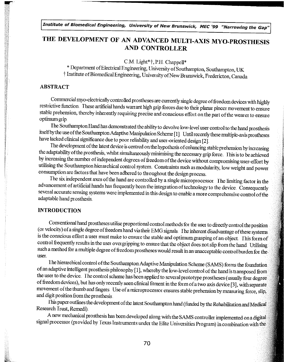## THE DEVELOPMENT OF AN ADVANCED MULTI-AXIS MYO-PROSTHESIS AND CONTROLLER

 $CM$ . Light\*  $\dagger$ , P.H. Chappell\*

\* Department of Electrical Engineering, University of Southampton, Southampton, UK t Institute of Biomedical Engineering, Univet sity ofNewBrunswick, Fredericton, Canada

### ABSTRACT

Commercial myo-electrically controlled prostheses are currently single degree of fieedom devices with highly restrictive function These artificial hands warrant high grip forces due to their planar pincer movement to ensure stable prehension, thereby inhet ently requiring precise and conscious effoit on the part of the wearer to ensure optimum grip.

The Southampton Hand has demonstrated the ability to devolve low-level user control to the hand prosthesis itself by the use of the Southampton Adaptive Manipulation Scheme [1] Until recently these multiple-axis prostheses have lacked clinical significance due to poor reliability and user-oriented design [2].

The development of the latest device is centred on the hypothesis of enhancing stable piehension by increasing the adaptability of the prosthesis, whilst simultaneously minimising the necessary grip force. This is to be achieved by increasing the number of independent degrees of freedom of the device without compromising user-effort by utilising the Southampton hierarchical control system. Constraints such as modularity, low weight and power consumption are factors that have been adhered to throughout the design process.

The six independent axes of the hand are controlled by a single microprocessor. The limiting factor in the advancement of artificial hands has frequently been the integration of technology to the device. Consequently several accurate sensing systems were implemented in this design to enable a more comprehensive control of the adaptable hand pr osthesis

### INTRODUCTION

Conventional hand prostheses utilise proportional control methods for the user to directly control the position (or velocity) of a single degree of freedom hand via their EMG signals. The inherent disadvantage of these systems is the conscious effort a user must make to ensure the stable and optimum grasping of an object. This form of control frequently results in the user overgripping to ensure that the object does not slip from the hand Utilising such a method for a multiple degree of freedom prostheses would result in an unacceptable control burden for the user.

The hierarchical control of the Southampton Adaptive Manipulation Scheme (SAMS) forms the foundation of an adaptive intelligent prosthesis philosophy [1], whereby the low-level control of the hand is transposed from<br>the user to the device. The control scheme has been applied to several prototype prostheses (usually four d of freedom devices), but has only recently seen clinical fitment in the form of a two axis device [3], with separate movement of the thumb and fingers. Use of a microprocessor ensures stable prehension by measuring force, slip, and digit position from the prosthesis

This paper outlines the development of the latest Southampton hand (funded by the Rehabilitation and Medical Research Trust, Remedi)

A new mechanical prosthesis has been developed along with the SAMS controller implemented on a digital signal pi ocessor (pr ovided by Texas Instruments under the Elite Univer sities Program) in combination with the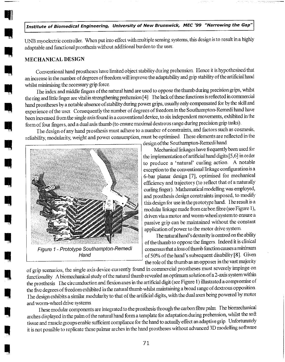UNB myoelectric controller, When put into effect with multiple sensing systems, this design is to result in a highly adaptable and functional prosthesis without additional burden to the user

#### MECHANICAL DESIGN

Conventional hand prostheses have limited object stability dur ing prehension Hence it is hypothesised that an incr ease in the number of degrees of freedom will improve the adaptability and grip stability of the artificial hand whilst minimising the necessary grip force.

The index and middle fingers of the natural hand are used to oppose the thumb during precision grips, whilst the ring and little finger are vital in strengthening prehension [4] Ihe lack of these functions is reflected in commercial hand prostheses by a notable absence of stability during power grips, usually only compensated for by the skill and experience of the user. Consequently the number of degrees of freedom in the Southampton-Remedi hand have been increased from the single axis found in a conventional device, to six independent movements, exhibited in the form of four fingers, and a dual axis thumb (to ensure maximal dextrous range during precision grip tasks).

The design of any hand prosthesis must adhere to a number of constraints, and factors such as cosmesis, reliability, modularity, weight and power consumption, must be optimised. These elements are reflected in the



Figure 1 - Prototype Southampton-Remedi Hand

design ofthe Southampton-Remedi hand

Mechanical linkages have frequently been used for the implementation of artificial hand digits [5,6] in order to produce a 'natural' curling action A notable exception to the conventional linkage configuration is a 6-bar planar design [7], optimised for mechanical efficiency and trajectory (to reflect that of a naturally curling finger) Mathematical modelling was employed, and prosthesis design constraints imposed, to modify this design for use in the prototype hand. The result is a modular linkage made from carbon fibre (see Figure 1), driven via a motor and worm-wheel system to ensure a passive grip can be maintained without the constant application of powet to the motor drive system

The natural hand's dexterity is centred on the ability of the thumb to oppose the fmgers Indeed it is clinical consensus that a loss of thumb function causes aminimum of 50% of the hand's subsequent disability  $[8]$ . Given the role of the thumb as an opposer in the vast majority

of grip scenarios, the single axis device currently found in commercial prostheses must severely impinge on functionality A biomechanical study of the natural thumb revealed an optimum solution of a 2-axis system within the prosthesis The circumduction and flexion axes in the artificial digit (see Figure 1) illustrated a compromise of the five degrees of freedom exhibited in the natural thumb whilst maintaining a broad range of dextrous opposition The design exhibits a similar modular ity to that of the artificial digits, with the dual axes being powered by motor and worm-wheel drive systems

These modular components are integrated to the prosthesis through the carbon fibre palm The biomechanical arches displayed in the palm of the natural hand form a template for adaptation during prehension, whilst the soft tissue and muscle groups enable sufficient compliance for the hand to actually effect an adaptive grip Unfortunately it is not possible to teplicate these palmar arches in the hand prostheses without advanced 3D modelling software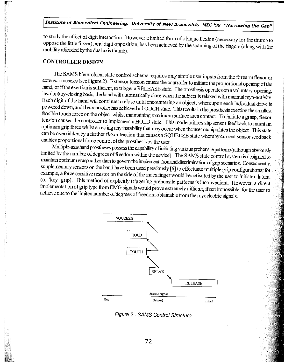to study the effect of digit inter action However a limited form of oblique flexion (necessary for the thumb to oppose the little finger), and digit opposition, has been achieved by the spanning of the fingers (along with the mobility afforded by the dual axis thumb).

### CONTROLLER DESIGN

The SAMS hierarchical state control scheme requires only simple user inputs from the forearm flexor or extensor muscles (see Figure 2). Extensor tension causes the controller to initiate the proportional opening of the han Each digit of the hand will continue to close until encountering an object, whereupon each individual drive is<br>powered down, and the controller has achieved a TOUCH state. This results in the prosthesis exerting the smalle tension causes the controller to implement a HOLD state This mode utilises slip sensor feedback to maintain optimum grip force whilst arresting any instability that may occur when the user manipulates the object. This stat can be overridden by a further flexor tension that causes a SQUEEZE state whereby current sensor feedback enables pr oportional force control of the pi osthesis by the user

Multiple-axis hand prostheses possess the capability of initiating various prehensile patterns (although obviously limited by the number of degrees of freedom within the device). The SAMS state control system is designed t maintain optimum grasp rather than to govern the implementation and discrimination of grip scenarios. Consequently, supplementary sensors on the hand have been used previously [6] to effectuate multiple grip configurations implementation of grip type from EMG signals would prove extremely difficult, if not impossible, for the user to achieve due to the limited number of degrees of freedom obtainable from the myoelectric signals.



Figure 2 - SAMS Control Structure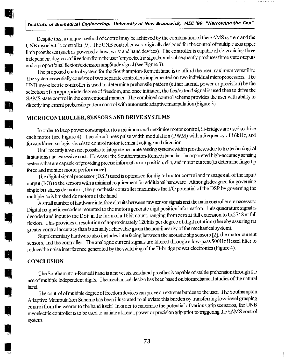Despite this, a unique method of control may be achieved by the combination ofthe SAMS system and the UNB myoelectric controller [9]. The UNB controller was originally designed for the control of multiple axis upper limb prostheses (such as powered elbow, wrist and hand devices). The controller is capable of determining three independent degrees of freedom from the user 's myoelectric signals, and subsequently produces three state outputs and a proportional flexion/extension amplitude signal (see Figure 3).

The proposed control system for the Southampton-Remedi hand is to afford the user maximum versatility. The system essentiallyconsists of two separate controllers implemented on two individuat microprocessors The UNB myoelectric controller is used to determine prehensile pattern (either lateral, power or precision) by the selection of an appropriate degree of freedom, and once initiated, the flex/extend signal is used then to drive the SAMS state control in the conventional manner. The combined control scheme provides the user with ability to directly implement prehensile pattern control with automatic adaptive manipulation (Figure 3).

#### MICROCONTROLLER, SENSORS AND DRIVE SYSTEMS

In order to keep power consumption to a minimum and maximise motor control, H-bridges are used to drive each motor (see Figure 4). The circuit uses pulse width modulation (PWM) with a frequency of 16kHz, and forward/reverse logic signals to control motor terminal voltage and direction.

Until recently it was not possible to integrate accurate sensing systems within prostheses due to the technological limitations and excessive cost. However the Southampton-Remedi hand has incorporated high-accuracy sensing systems that are capable of providing precise information on position, slip, and motor current (to determine fingertip force and monitor motor performance)

The digital signal ptocessot (DSP) used is optimised for digital motor control and manages all of the input/ output (I/O) to the sensors with a minimal requirement for additional hardware. Although designed for governing single brushless de motors, the prosthesis controller maximises the I/O potential of the DSP by governing the multiple-axis brushed dc motor s of the hand

A small number of hardware interface circuits between aw sensor signals and the main controller are necessary. Digital magnetic encoders mounted to the motors generate digit position information. This quadrature signal is decoded and input to the DSP in the form of a 16bit count, ranging from zero at full extension to 0x2748 at full flexion. This provides a resolution of approximately 120bits per degree of digit rotation (thereby assuring far greater control accuracy than is actually achievable given the non-linearity of the mechanical system).

Supplementary hardware also includes inter facing between the acoustic slip sensor s [2], the motor cutrent sensors, and the controller. The analogue current signals are filtered through a low-pass 500Hz Bessel filter to reduce the noise interference generated by the switching of the H-bridge power electronics (Figure 4).

### **CONCLUSION**

The Southampton-Remedi hand is a novel six axis hand prosthesis capable of stable prehension through the use of multiple independent digits. I he mechanical design has been based on biomechanical studies of the natural hand

The control of multiple degree of freedom devices can prove an extreme burden to the user. The Southampton Adaptive Manipulation Scheme has been illustrated to alleviate this burden by transferring low-level grasping control from the wearer to the hand itself. In otder to maximise the potential of various grip scenarios, the UNB myoelectric controller is to be used to initiate a lateral, power or precision grip prior to triggering the SAMS control system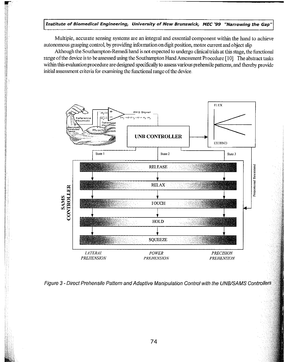Multiple, accurate sensing systems are an integral and essential component within the hand to achieve autonomous grasping control, by providing information on digit position, motor current and object slip

Although the Southampton-Remedi hand is not expected to under go clinical trials at this stage, the functional range of the device is to be assessed using the Southampton Hand Assessment Procedure [10]. The abstract tasks within this evaluation procedwe are designed specifically to assess various prehensile patterns, and thereby provide initial assessment criteria for examining the functional range of the device



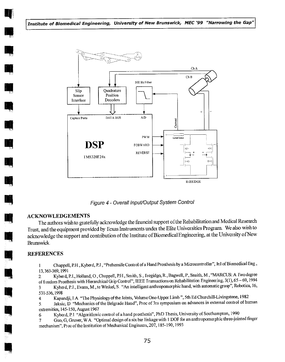

Figure 4- Overall InpuVOutput System Control

### ACKNOWLEDGEMENTS

The authors wish to gratefully acknowledge the financial support of the Rehabilitation and Medical Research Trust, and the equipment provided by Texas Instruments under the Elite Univer sities Program We also wish to acknowledge the support and contribution of the Institute of BiomedicalEngineering, at the Univer sity of New Brunswick

### REFERENCES

1 Chappell, P.H., Kyberd, P.J., "Prehensile Control of a Hand Prosthesis by a Microcontroller", Jnl of Biomedical Eng., 13,363-369,1991

2 Kyberd, P.J., Holland, O., Chappell, P.H., Smith, S., Tregidgo, R., Bagwell, P., Snaith, M., "MARCUS: A Two degree of freedom Prosthesis with Hierarchical Grip Control", IEEE Transactions on Rehabilitation Engineering, 3(1), 65 - 69, 1994 3 Kyberd, P.J., Evans, M., te Winkel, S. "An intelligent anthropomorphic hand, with automatic grasp", Robotica, 16, 531-536,1998

<sup>4</sup> Kapandji, I A "The Physiology of the Joints, Volume One-Upper Limb ", 5th Ed Churchill-Livingstone, 1982

5 Jaksic, D "Mechanics of the Belgrade Hand", Proc of 3rs symposium on advances in external control of human extremities, 145-150, August 1967

6 Kyberd, P.J. "Algorithmic control of a hand prosthesis", PhD Thesis, University of Southampton, 1990

7 Guo, G, Gruver, W.A. "Optimal design of a six bar linkage with 1 DOF for an anthropomorphic three-jointed finger mechanism", Proc of the Institution of Mechanical Engineers, 207, 185-190, 1993